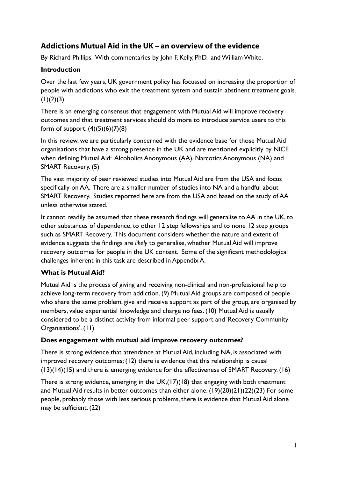# **Addictions Mutual Aid in the UK – an overview of the evidence**

By Richard Phillips. With commentaries by John F. Kelly, PhD. and William White.

## **Introduction**

Over the last few years, UK government policy has focussed on increasing the proportion of people with addictions who exit the treatment system and sustain abstinent treatment goals.  $(1)(2)(3)$ 

There is an emerging consensus that engagement with Mutual Aid will improve recovery outcomes and that treatment services should do more to introduce service users to this form of support.  $(4)(5)(6)(7)(8)$ 

In this review, we are particularly concerned with the evidence base for those Mutual Aid organisations that have a strong presence in the UK and are mentioned explicitly by NICE when defining Mutual Aid: Alcoholics Anonymous (AA), Narcotics Anonymous (NA) and SMART Recovery. (5)

The vast majority of peer reviewed studies into Mutual Aid are from the USA and focus specifically on AA. There are a smaller number of studies into NA and a handful about SMART Recovery. Studies reported here are from the USA and based on the study of AA unless otherwise stated.

It cannot readily be assumed that these research findings will generalise to AA in the UK, to other substances of dependence, to other 12 step fellowships and to none 12 step groups such as SMART Recovery. This document considers whether the nature and extent of evidence suggests the findings are *likely* to generalise, whether Mutual Aid will improve recovery outcomes for people in the UK context. Some of the significant methodological challenges inherent in this task are described in Appendix A.

# **What is Mutual Aid?**

Mutual Aid is the process of giving and receiving non-clinical and non-professional help to achieve long-term recovery from addiction. (9) Mutual Aid groups are composed of people who share the same problem, give and receive support as part of the group, are organised by members, value experiential knowledge and charge no fees. (10) Mutual Aid is usually considered to be a distinct activity from informal peer support and 'Recovery Community Organisations'. (11)

# **Does engagement with mutual aid improve recovery outcomes?**

There is strong evidence that attendance at Mutual Aid, including NA, is associated with improved recovery outcomes; (12) there is evidence that this relationship is causal (13)(14)(15) and there is emerging evidence for the effectiveness of SMART Recovery. (16)

There is strong evidence, emerging in the UK,(17)(18) that engaging with both treatment and Mutual Aid results in better outcomes than either alone. (19)(20)(21)(22)(23) For some people, probably those with less serious problems, there is evidence that Mutual Aid alone may be sufficient. (22)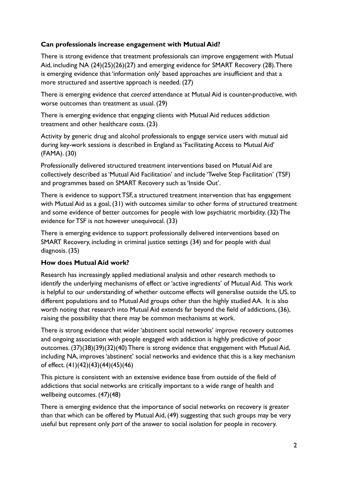# **Can professionals increase engagement with Mutual Aid?**

There is strong evidence that treatment professionals can improve engagement with Mutual Aid, including NA (24)(25)(26)(27) and emerging evidence for SMART Recovery (28). There is emerging evidence that 'information only' based approaches are insufficient and that a more structured and assertive approach is needed. (27)

There is emerging evidence that *coerced* attendance at Mutual Aid is counter-productive, with worse outcomes than treatment as usual. (29)

There is emerging evidence that engaging clients with Mutual Aid reduces addiction treatment and other healthcare costs. (23)

Activity by generic drug and alcohol professionals to engage service users with mutual aid during key-work sessions is described in England as 'Facilitating Access to Mutual Aid' (FAMA). (30)

Professionally delivered structured treatment interventions based on Mutual Aid are collectively described as 'Mutual Aid Facilitation' and include 'Twelve Step Facilitation' (TSF) and programmes based on SMART Recovery such as 'Inside Out'.

There is evidence to support TSF, a structured treatment intervention that has engagement with Mutual Aid as a goal, (31) with outcomes similar to other forms of structured treatment and some evidence of better outcomes for people with low psychiatric morbidity. (32) The evidence for TSF is not however unequivocal. (33)

There is emerging evidence to support professionally delivered interventions based on SMART Recovery, including in criminal justice settings (34) and for people with dual diagnosis. (35)

# **How does Mutual Aid work?**

Research has increasingly applied mediational analysis and other research methods to identify the underlying mechanisms of effect or 'active ingredients' of Mutual Aid. This work is helpful to our understanding of whether outcome effects will generalise outside the US, to different populations and to Mutual Aid groups other than the highly studied AA. It is also worth noting that research into Mutual Aid extends far beyond the field of addictions, (36), raising the possibility that there may be common mechanisms at work.

There is strong evidence that wider 'abstinent social networks' improve recovery outcomes and ongoing association with people engaged with addiction is highly predictive of poor outcomes. (37)(38)(39)(32)(40) There is strong evidence that engagement with Mutual Aid, including NA, improves 'abstinent' social networks and evidence that this is a key mechanism of effect. (41)(42)(43)(44)(45)(46)

This picture is consistent with an extensive evidence base from outside of the field of addictions that social networks are critically important to a wide range of health and wellbeing outcomes. (47)(48)

There is emerging evidence that the importance of social networks on recovery is greater than that which can be offered by Mutual Aid, (49) suggesting that such groups may be very useful but represent only *part* of the answer to social isolation for people in recovery.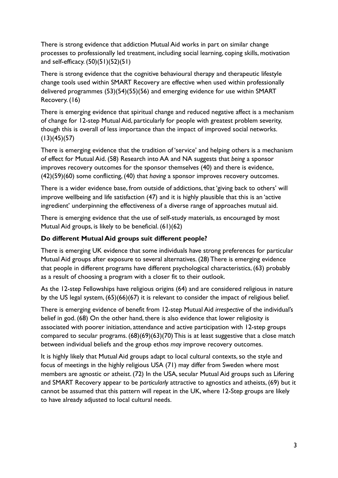There is strong evidence that addiction Mutual Aid works in part on similar change processes to professionally led treatment, including social learning, coping skills, motivation and self-efficacy. (50)(51)(52)(51)

There is strong evidence that the cognitive behavioural therapy and therapeutic lifestyle change tools used within SMART Recovery are effective when used within professionally delivered programmes (53)(54)(55)(56) and emerging evidence for use within SMART Recovery. (16)

There is emerging evidence that spiritual change and reduced negative affect is a mechanism of change for 12-step Mutual Aid, particularly for people with greatest problem severity, though this is overall of less importance than the impact of improved social networks.  $(13)(45)(57)$ 

There is emerging evidence that the tradition of 'service' and helping others is a mechanism of effect for Mutual Aid. (58) Research into AA and NA suggests that *being* a sponsor improves recovery outcomes for the sponsor themselves (40) and there is evidence, (42)(59)(60) some conflicting, (40) that *having* a sponsor improves recovery outcomes.

There is a wider evidence base, from outside of addictions, that 'giving back to others' will improve wellbeing and life satisfaction (47) and it is highly plausible that this is an 'active ingredient' underpinning the effectiveness of a diverse range of approaches mutual aid.

There is emerging evidence that the use of self-study materials, as encouraged by most Mutual Aid groups, is likely to be beneficial. (61)(62)

# **Do different Mutual Aid groups suit different people?**

There is emerging UK evidence that some individuals have strong preferences for particular Mutual Aid groups after exposure to several alternatives. (28) There is emerging evidence that people in different programs have different psychological characteristics, (63) probably as a result of choosing a program with a closer fit to their outlook.

As the 12-step Fellowships have religious origins (64) and are considered religious in nature by the US legal system, (65)(66)(67) it is relevant to consider the impact of religious belief.

There is emerging evidence of benefit from 12-step Mutual Aid *irrespective* of the individual's belief in god. (68) On the other hand, there is also evidence that lower religiosity is associated with poorer initiation, attendance and active participation with 12-step groups compared to secular programs. (68)(69)(63)(70) This is at least suggestive that a close match between individual beliefs and the group ethos *may* improve recovery outcomes.

It is highly likely that Mutual Aid groups adapt to local cultural contexts, so the style and focus of meetings in the highly religious USA (71) may differ from Sweden where most members are agnostic or atheist. (72) In the USA, secular Mutual Aid groups such as Lifering and SMART Recovery appear to be *particularly* attractive to agnostics and atheists, (69) but it cannot be assumed that this pattern will repeat in the UK, where 12-Step groups are likely to have already adjusted to local cultural needs.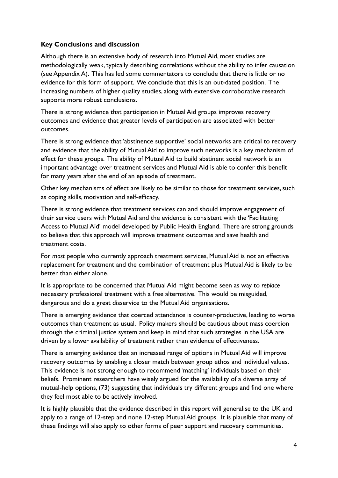#### **Key Conclusions and discussion**

Although there is an extensive body of research into Mutual Aid, most studies are methodologically weak, typically describing correlations without the ability to infer causation (see Appendix A). This has led some commentators to conclude that there is little or no evidence for this form of support. We conclude that this is an out-dated position. The increasing numbers of higher quality studies, along with extensive corroborative research supports more robust conclusions.

There is strong evidence that participation in Mutual Aid groups improves recovery outcomes and evidence that greater levels of participation are associated with better outcomes.

There is strong evidence that 'abstinence supportive' social networks are critical to recovery and evidence that the ability of Mutual Aid to improve such networks is a key mechanism of effect for these groups. The ability of Mutual Aid to build abstinent social network is an important advantage over treatment services and Mutual Aid is able to confer this benefit for many years after the end of an episode of treatment.

Other key mechanisms of effect are likely to be similar to those for treatment services, such as coping skills, motivation and self-efficacy.

There is strong evidence that treatment services can and should improve engagement of their service users with Mutual Aid and the evidence is consistent with the 'Facilitating Access to Mutual Aid' model developed by Public Health England. There are strong grounds to believe that this approach will improve treatment outcomes and save health and treatment costs.

For *most* people who currently approach treatment services, Mutual Aid is not an effective replacement for treatment and the combination of treatment plus Mutual Aid is likely to be better than either alone.

It is appropriate to be concerned that Mutual Aid might become seen as way to *replace* necessary professional treatment with a free alternative. This would be misguided, dangerous and do a great disservice to the Mutual Aid organisations.

There is emerging evidence that coerced attendance is counter-productive, leading to worse outcomes than treatment as usual. Policy makers should be cautious about mass coercion through the criminal justice system and keep in mind that such strategies in the USA are driven by a lower availability of treatment rather than evidence of effectiveness.

There is emerging evidence that an increased range of options in Mutual Aid will improve recovery outcomes by enabling a closer match between group ethos and individual values. This evidence is not strong enough to recommend 'matching' individuals based on their beliefs. Prominent researchers have wisely argued for the availability of a diverse array of mutual-help options, (73) suggesting that individuals try different groups and find one where they feel most able to be actively involved.

It is highly plausible that the evidence described in this report will generalise to the UK and apply to a range of 12-step and none 12-step Mutual Aid groups. It is plausible that many of these findings will also apply to other forms of peer support and recovery communities.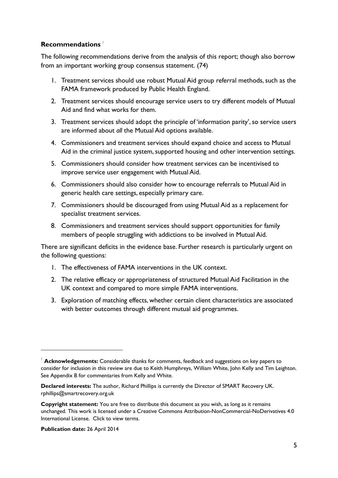#### **Recommendations** <sup>1</sup>

The following recommendations derive from the analysis of this report; though also borrow from an important working group consensus statement. (74)

- 1. Treatment services should use robust Mutual Aid group referral methods, such as the FAMA framework produced by Public Health England.
- 2. Treatment services should encourage service users to try different models of Mutual Aid and find what works for them.
- 3. Treatment services should adopt the principle of 'information parity', so service users are informed about *all* the Mutual Aid options available.
- 4. Commissioners and treatment services should expand choice and access to Mutual Aid in the criminal justice system, supported housing and other intervention settings.
- 5. Commissioners should consider how treatment services can be incentivised to improve service user engagement with Mutual Aid.
- 6. Commissioners should also consider how to encourage referrals to Mutual Aid in generic health care settings, especially primary care.
- 7. Commissioners should be discouraged from using Mutual Aid as a replacement for specialist treatment services.
- 8. Commissioners and treatment services should support opportunities for family members of people struggling with addictions to be involved in Mutual Aid.

There are significant deficits in the evidence base. Further research is particularly urgent on the following questions:

- 1. The effectiveness of FAMA interventions in the UK context.
- 2. The relative efficacy or appropriateness of structured Mutual Aid Facilitation in the UK context and compared to more simple FAMA interventions.
- 3. Exploration of matching effects, whether certain client characteristics are associated with better outcomes through different mutual aid programmes.

**Publication date:** 26 April 2014

<u>.</u>

<sup>1</sup> **Acknowledgements:** Considerable thanks for comments, feedback and suggestions on key papers to consider for inclusion in this review are due to Keith Humphreys, William White, John Kelly and Tim Leighton. See Appendix B for commentaries from Kelly and White.

**Declared interests:** The author, Richard Phillips is currently the Director of SMART Recovery UK. [rphillips@smartrecovery.org.uk](mailto:rphillips@smartrecovery.org.uk) 

**Copyright statement:** You are free to distribute this document as you wish, as long as it remains [unchanged. This work is licensed under a Creative Commons Attribution-NonCommercial-NoDerivatives 4.0](http://creativecommons.org/licenses/by-nc-nd/4.0/) International License. Click to view terms.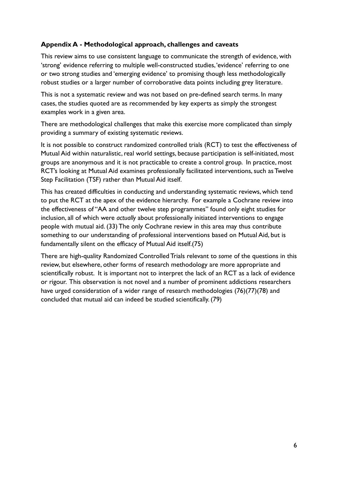# **Appendix A - Methodological approach, challenges and caveats**

This review aims to use consistent language to communicate the strength of evidence, with 'strong' evidence referring to multiple well-constructed studies, 'evidence' referring to one or two strong studies and 'emerging evidence' to promising though less methodologically robust studies or a larger number of corroborative data points including grey literature.

This is not a systematic review and was not based on pre-defined search terms. In many cases, the studies quoted are as recommended by key experts as simply the strongest examples work in a given area.

There are methodological challenges that make this exercise more complicated than simply providing a summary of existing systematic reviews.

It is not possible to construct randomized controlled trials (RCT) to test the effectiveness of Mutual Aid within naturalistic, real world settings, because participation is self-initiated, most groups are anonymous and it is not practicable to create a control group. In practice, most RCT's looking at Mutual Aid examines professionally facilitated interventions, such as Twelve Step Facilitation (TSF) rather than Mutual Aid itself.

This has created difficulties in conducting and understanding systematic reviews, which tend to put the RCT at the apex of the evidence hierarchy. For example a Cochrane review into the effectiveness of "AA and other twelve step programmes" found only eight studies for inclusion, all of which were *actually* about professionally initiated interventions to engage people with mutual aid. (33) The only Cochrane review in this area may thus contribute something to our understanding of professional interventions based on Mutual Aid, but is fundamentally silent on the efficacy of Mutual Aid itself.(75)

There are high-quality Randomized Controlled Trials relevant to *some* of the questions in this review, but elsewhere, other forms of research methodology are more appropriate and scientifically robust. It is important not to interpret the lack of an RCT as a lack of evidence or rigour. This observation is not novel and a number of prominent addictions researchers have urged consideration of a wider range of research methodologies (76)(77)(78) and concluded that mutual aid can indeed be studied scientifically. (79)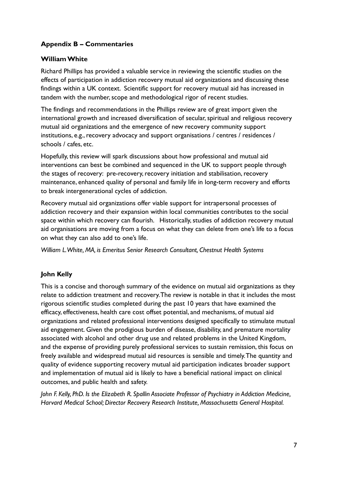# **Appendix B – Commentaries**

#### **William White**

Richard Phillips has provided a valuable service in reviewing the scientific studies on the effects of participation in addiction recovery mutual aid organizations and discussing these findings within a UK context. Scientific support for recovery mutual aid has increased in tandem with the number, scope and methodological rigor of recent studies.

The findings and recommendations in the Phillips review are of great import given the international growth and increased diversification of secular, spiritual and religious recovery mutual aid organizations and the emergence of new recovery community support institutions, e.g., recovery advocacy and support organisations / centres / residences / schools / cafes, etc.

Hopefully, this review will spark discussions about how professional and mutual aid interventions can best be combined and sequenced in the UK to support people through the stages of recovery: pre-recovery, recovery initiation and stabilisation, recovery maintenance, enhanced quality of personal and family life in long-term recovery and efforts to break intergenerational cycles of addiction.

Recovery mutual aid organizations offer viable support for intrapersonal processes of addiction recovery and their expansion within local communities contributes to the social space within which recovery can flourish. Historically, studies of addiction recovery mutual aid organisations are moving from a focus on what they can delete from one's life to a focus on what they can also add to one's life.

*William L. White, MA, is Emeritus Senior Research Consultant, Chestnut Health Systems* 

# **John Kelly**

This is a concise and thorough summary of the evidence on mutual aid organizations as they relate to addiction treatment and recovery. The review is notable in that it includes the most rigorous scientific studies completed during the past 10 years that have examined the efficacy, effectiveness, health care cost offset potential, and mechanisms, of mutual aid organizations and related professional interventions designed specifically to stimulate mutual aid engagement. Given the prodigious burden of disease, disability, and premature mortality associated with alcohol and other drug use and related problems in the United Kingdom, and the expense of providing purely professional services to sustain remission, this focus on freely available and widespread mutual aid resources is sensible and timely. The quantity and quality of evidence supporting recovery mutual aid participation indicates broader support and implementation of mutual aid is likely to have a beneficial national impact on clinical outcomes, and public health and safety.

*John F. Kelly, PhD. Is the Elizabeth R. Spallin Associate Professor of Psychiatry in Addiction Medicine, Harvard Medical School; Director Recovery Research Institute, Massachusetts General Hospital.*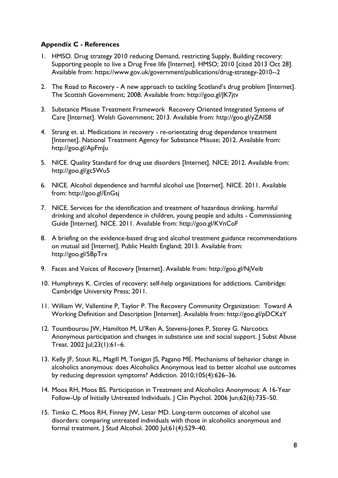# **Appendix C - References**

- 1. HMSO. Drug strategy 2010 reducing Demand, restricting Supply, Building recovery: Supporting people to live a Drug Free life [Internet]. HMSO; 2010 [cited 2013 Oct 28]. Available from: https://www.gov.uk/government/publications/drug-strategy-2010--2
- 2. The Road to Recovery A new approach to tackling Scotland's drug problem [Internet]. The Scottish Government; 2008. Available from: http://goo.gl/JK7jtv
- 3. Substance Misuse Treatment Framework Recovery Oriented Integrated Systems of Care [Internet]. Welsh Government; 2013. Available from: http://goo.gl/yZAlS8
- 4. Strang et. al. Medications in recovery re-orientating drug dependence treatment [Internet]. National Treatment Agency for Substance Misuse; 2012. Available from: http://goo.gl/ApFmJu
- 5. NICE. Quality Standard for drug use disorders [Internet]. NICE; 2012. Available from: http://goo.gl/gc5Wu5
- 6. NICE. Alcohol dependence and harmful alcohol use [Internet]. NICE. 2011. Available from: http://goo.gl/EnGsj
- 7. NICE. Services for the identification and treatment of hazardous drinking, harmful drinking and alcohol dependence in children, young people and adults - Commissioning Guide [Internet]. NICE. 2011. Available from: http://goo.gl/KVnCoF
- 8. A briefing on the evidence-based drug and alcohol treatment guidance recommendations on mutual aid [Internet]. Public Health England; 2013. Available from: http://goo.gl/5BpTrx
- 9. Faces and Voices of Recovery [Internet]. Available from: http://goo.gl/NjVeib
- 10. Humphreys K. Circles of recovery: self-help organizations for addictions. Cambridge: Cambridge University Press; 2011.
- 11. William W, Vallentine P, Taylor P. The Recovery Community Organization: Toward A Working Definition and Description [Internet]. Available from: http://goo.gl/pDCKzY
- 12. Toumbourou JW, Hamilton M, U'Ren A, Stevens-Jones P, Storey G. Narcotics Anonymous participation and changes in substance use and social support. J Subst Abuse Treat. 2002 Jul;23(1):61–6.
- 13. Kelly JF, Stout RL, Magill M, Tonigan JS, Pagano ME. Mechanisms of behavior change in alcoholics anonymous: does Alcoholics Anonymous lead to better alcohol use outcomes by reducing depression symptoms? Addiction. 2010;105(4):626–36.
- 14. Moos RH, Moos BS. Participation in Treatment and Alcoholics Anonymous: A 16-Year Follow-Up of Initially Untreated Individuals. J Clin Psychol. 2006 Jun;62(6):735–50.
- 15. Timko C, Moos RH, Finney JW, Lesar MD. Long-term outcomes of alcohol use disorders: comparing untreated individuals with those in alcoholics anonymous and formal treatment. J Stud Alcohol. 2000 Jul;61(4):529–40.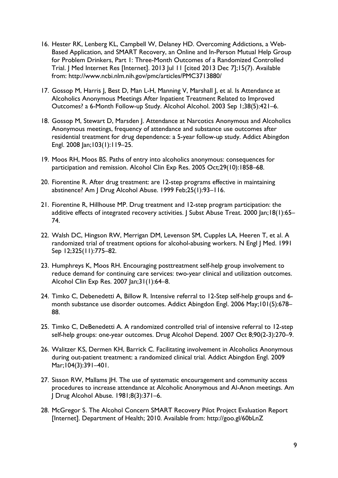- 16. Hester RK, Lenberg KL, Campbell W, Delaney HD. Overcoming Addictions, a Web-Based Application, and SMART Recovery, an Online and In-Person Mutual Help Group for Problem Drinkers, Part 1: Three-Month Outcomes of a Randomized Controlled Trial. J Med Internet Res [Internet]. 2013 Jul 11 [cited 2013 Dec 7];15(7). Available from: http://www.ncbi.nlm.nih.gov/pmc/articles/PMC3713880/
- 17. Gossop M, Harris J, Best D, Man L-H, Manning V, Marshall J, et al. Is Attendance at Alcoholics Anonymous Meetings After Inpatient Treatment Related to Improved Outcomes? a 6-Month Follow-up Study. Alcohol Alcohol. 2003 Sep 1;38(5):421–6.
- 18. Gossop M, Stewart D, Marsden J. Attendance at Narcotics Anonymous and Alcoholics Anonymous meetings, frequency of attendance and substance use outcomes after residential treatment for drug dependence: a 5-year follow-up study. Addict Abingdon Engl. 2008 Jan;103(1):119–25.
- 19. Moos RH, Moos BS. Paths of entry into alcoholics anonymous: consequences for participation and remission. Alcohol Clin Exp Res. 2005 Oct;29(10):1858–68.
- 20. Fiorentine R. After drug treatment: are 12-step programs effective in maintaining abstinence? Am J Drug Alcohol Abuse. 1999 Feb;25(1):93–116.
- 21. Fiorentine R, Hillhouse MP. Drug treatment and 12-step program participation: the additive effects of integrated recovery activities. J Subst Abuse Treat. 2000 Jan;18(1):65-74.
- 22. Walsh DC, Hingson RW, Merrigan DM, Levenson SM, Cupples LA, Heeren T, et al. A randomized trial of treatment options for alcohol-abusing workers. N Engl J Med. 1991 Sep 12;325(11):775–82.
- 23. Humphreys K, Moos RH. Encouraging posttreatment self-help group involvement to reduce demand for continuing care services: two-year clinical and utilization outcomes. Alcohol Clin Exp Res. 2007 Jan;31(1):64–8.
- 24. Timko C, Debenedetti A, Billow R. Intensive referral to 12-Step self-help groups and 6 month substance use disorder outcomes. Addict Abingdon Engl. 2006 May;101(5):678– 88.
- 25. Timko C, DeBenedetti A. A randomized controlled trial of intensive referral to 12-step self-help groups: one-year outcomes. Drug Alcohol Depend. 2007 Oct 8;90(2-3):270–9.
- 26. Walitzer KS, Dermen KH, Barrick C. Facilitating involvement in Alcoholics Anonymous during out-patient treatment: a randomized clinical trial. Addict Abingdon Engl. 2009 Mar;104(3):391–401.
- 27. Sisson RW, Mallams JH. The use of systematic encouragement and community access procedures to increase attendance at Alcoholic Anonymous and Al-Anon meetings. Am J Drug Alcohol Abuse. 1981;8(3):371–6.
- 28. McGregor S. The Alcohol Concern SMART Recovery Pilot Project Evaluation Report [Internet]. Department of Health; 2010. Available from: http://goo.gl/60bLnZ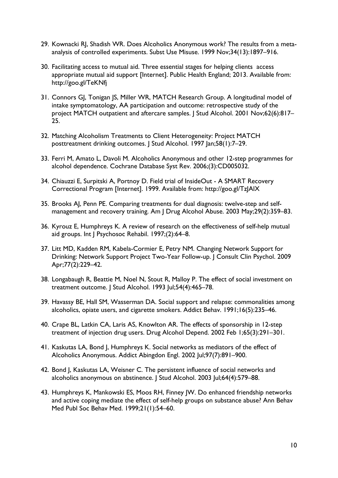- 29. Kownacki RJ, Shadish WR. Does Alcoholics Anonymous work? The results from a metaanalysis of controlled experiments. Subst Use Misuse. 1999 Nov;34(13):1897–916.
- 30. Facilitating access to mutual aid. Three essential stages for helping clients access appropriate mutual aid support [Internet]. Public Health England; 2013. Available from: http://goo.gl/TeKNfj
- 31. Connors GJ, Tonigan JS, Miller WR, MATCH Research Group. A longitudinal model of intake symptomatology, AA participation and outcome: retrospective study of the project MATCH outpatient and aftercare samples. J Stud Alcohol. 2001 Nov;62(6):817-25.
- 32. Matching Alcoholism Treatments to Client Heterogeneity: Project MATCH posttreatment drinking outcomes. J Stud Alcohol. 1997 Jan;58(1):7–29.
- 33. Ferri M, Amato L, Davoli M. Alcoholics Anonymous and other 12-step programmes for alcohol dependence. Cochrane Database Syst Rev. 2006;(3):CD005032.
- 34. Chiauzzi E, Surpitski A, Portnoy D. Field trial of InsideOut A SMART Recovery Correctional Program [Internet]. 1999. Available from: http://goo.gl/TzJAlX
- 35. Brooks AJ, Penn PE. Comparing treatments for dual diagnosis: twelve-step and selfmanagement and recovery training. Am J Drug Alcohol Abuse. 2003 May;29(2):359–83.
- 36. Kyrouz E, Humphreys K. A review of research on the effectiveness of self-help mutual aid groups. Int J Psychosoc Rehabil. 1997;(2):64-8.
- 37. Litt MD, Kadden RM, Kabela-Cormier E, Petry NM. Changing Network Support for Drinking: Network Support Project Two-Year Follow-up. J Consult Clin Psychol. 2009 Apr;77(2):229–42.
- 38. Longabaugh R, Beattie M, Noel N, Stout R, Malloy P. The effect of social investment on treatment outcome. J Stud Alcohol. 1993 Jul;54(4):465–78.
- 39. Havassy BE, Hall SM, Wasserman DA. Social support and relapse: commonalities among alcoholics, opiate users, and cigarette smokers. Addict Behav. 1991;16(5):235–46.
- 40. Crape BL, Latkin CA, Laris AS, Knowlton AR. The effects of sponsorship in 12-step treatment of injection drug users. Drug Alcohol Depend. 2002 Feb 1;65(3):291–301.
- 41. Kaskutas LA, Bond J, Humphreys K. Social networks as mediators of the effect of Alcoholics Anonymous. Addict Abingdon Engl. 2002 Jul;97(7):891–900.
- 42. Bond J, Kaskutas LA, Weisner C. The persistent influence of social networks and alcoholics anonymous on abstinence. J Stud Alcohol. 2003 Jul;64(4):579–88.
- 43. Humphreys K, Mankowski ES, Moos RH, Finney JW. Do enhanced friendship networks and active coping mediate the effect of self-help groups on substance abuse? Ann Behav Med Publ Soc Behav Med. 1999;21(1):54–60.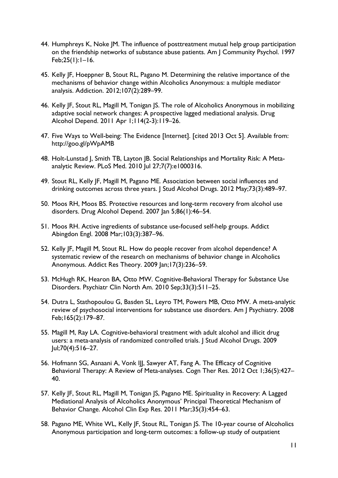- 44. Humphreys K, Noke JM. The influence of posttreatment mutual help group participation on the friendship networks of substance abuse patients. Am J Community Psychol. 1997 Feb;25(1):1–16.
- 45. Kelly JF, Hoeppner B, Stout RL, Pagano M. Determining the relative importance of the mechanisms of behavior change within Alcoholics Anonymous: a multiple mediator analysis. Addiction. 2012;107(2):289–99.
- 46. Kelly JF, Stout RL, Magill M, Tonigan JS. The role of Alcoholics Anonymous in mobilizing adaptive social network changes: A prospective lagged mediational analysis. Drug Alcohol Depend. 2011 Apr 1;114(2-3):119–26.
- 47. Five Ways to Well-being: The Evidence [Internet]. [cited 2013 Oct 5]. Available from: http://goo.gl/pWpAMB
- 48. Holt-Lunstad J, Smith TB, Layton JB. Social Relationships and Mortality Risk: A Metaanalytic Review. PLoS Med. 2010 Jul 27;7(7):e1000316.
- 49. Stout RL, Kelly JF, Magill M, Pagano ME. Association between social influences and drinking outcomes across three years. J Stud Alcohol Drugs. 2012 May;73(3):489–97.
- 50. Moos RH, Moos BS. Protective resources and long-term recovery from alcohol use disorders. Drug Alcohol Depend. 2007 Jan 5;86(1):46-54.
- 51. Moos RH. Active ingredients of substance use-focused self-help groups. Addict Abingdon Engl. 2008 Mar;103(3):387–96.
- 52. Kelly JF, Magill M, Stout RL. How do people recover from alcohol dependence? A systematic review of the research on mechanisms of behavior change in Alcoholics Anonymous. Addict Res Theory. 2009 Jan;17(3):236–59.
- 53. McHugh RK, Hearon BA, Otto MW. Cognitive-Behavioral Therapy for Substance Use Disorders. Psychiatr Clin North Am. 2010 Sep;33(3):511–25.
- 54. Dutra L, Stathopoulou G, Basden SL, Leyro TM, Powers MB, Otto MW. A meta-analytic review of psychosocial interventions for substance use disorders. Am | Psychiatry. 2008 Feb;165(2):179–87.
- 55. Magill M, Ray LA. Cognitive-behavioral treatment with adult alcohol and illicit drug users: a meta-analysis of randomized controlled trials. J Stud Alcohol Drugs. 2009 Jul;70(4):516–27.
- 56. Hofmann SG, Asnaani A, Vonk III, Sawyer AT, Fang A. The Efficacy of Cognitive Behavioral Therapy: A Review of Meta-analyses. Cogn Ther Res. 2012 Oct 1;36(5):427– 40.
- 57. Kelly JF, Stout RL, Magill M, Tonigan JS, Pagano ME. Spirituality in Recovery: A Lagged Mediational Analysis of Alcoholics Anonymous' Principal Theoretical Mechanism of Behavior Change. Alcohol Clin Exp Res. 2011 Mar;35(3):454–63.
- 58. Pagano ME, White WL, Kelly JF, Stout RL, Tonigan JS. The 10-year course of Alcoholics Anonymous participation and long-term outcomes: a follow-up study of outpatient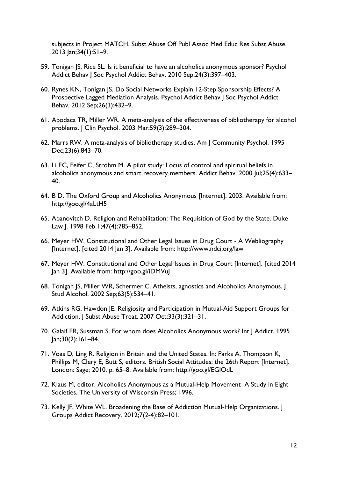subjects in Project MATCH. Subst Abuse Off Publ Assoc Med Educ Res Subst Abuse. 2013 Jan;34(1):51–9.

- 59. Tonigan JS, Rice SL. Is it beneficial to have an alcoholics anonymous sponsor? Psychol Addict Behav J Soc Psychol Addict Behav. 2010 Sep;24(3):397–403.
- 60. Rynes KN, Tonigan JS. Do Social Networks Explain 12-Step Sponsorship Effects? A Prospective Lagged Mediation Analysis. Psychol Addict Behav J Soc Psychol Addict Behav. 2012 Sep;26(3):432–9.
- 61. Apodaca TR, Miller WR. A meta-analysis of the effectiveness of bibliotherapy for alcohol problems. J Clin Psychol. 2003 Mar;59(3):289–304.
- 62. Marrs RW. A meta-analysis of bibliotherapy studies. Am J Community Psychol. 1995 Dec;23(6):843–70.
- 63. Li EC, Feifer C, Strohm M. A pilot study: Locus of control and spiritual beliefs in alcoholics anonymous and smart recovery members. Addict Behav. 2000 Jul;25(4):633– 40.
- 64. B D. The Oxford Group and Alcoholics Anonymous [Internet]. 2003. Available from: http://goo.gl/4aLtH5
- 65. Apanovitch D. Religion and Rehabilitation: The Requisition of God by the State. Duke Law J. 1998 Feb 1;47(4):785–852.
- 66. Meyer HW. Constitutional and Other Legal Issues in Drug Court A Webliography [Internet]. [cited 2014 Jan 3]. Available from: http://www.ndci.org/law
- 67. Meyer HW. Constitutional and Other Legal Issues in Drug Court [Internet]. [cited 2014 Jan 3]. Available from: http://goo.gl/iDMVuJ
- 68. Tonigan JS, Miller WR, Schermer C. Atheists, agnostics and Alcoholics Anonymous. J Stud Alcohol. 2002 Sep;63(5):534–41.
- 69. Atkins RG, Hawdon JE. Religiosity and Participation in Mutual-Aid Support Groups for Addiction. J Subst Abuse Treat. 2007 Oct;33(3):321–31.
- 70. Galaif ER, Sussman S. For whom does Alcoholics Anonymous work? Int J Addict. 1995  $lan;30(2):161-84.$
- 71. Voas D, Ling R. Religion in Britain and the United States. In: Parks A, Thompson K, Phillips M, Clery E, Butt S, editors. British Social Attitudes: the 26th Report [Internet]. London: Sage; 2010. p. 65–8. Available from: http://goo.gl/EGlOdL
- 72. Klaus M, editor. Alcoholics Anonymous as a Mutual-Help Movement A Study in Eight Societies. The University of Wisconsin Press; 1996.
- 73. Kelly JF, White WL. Broadening the Base of Addiction Mutual-Help Organizations. I Groups Addict Recovery. 2012;7(2-4):82–101.